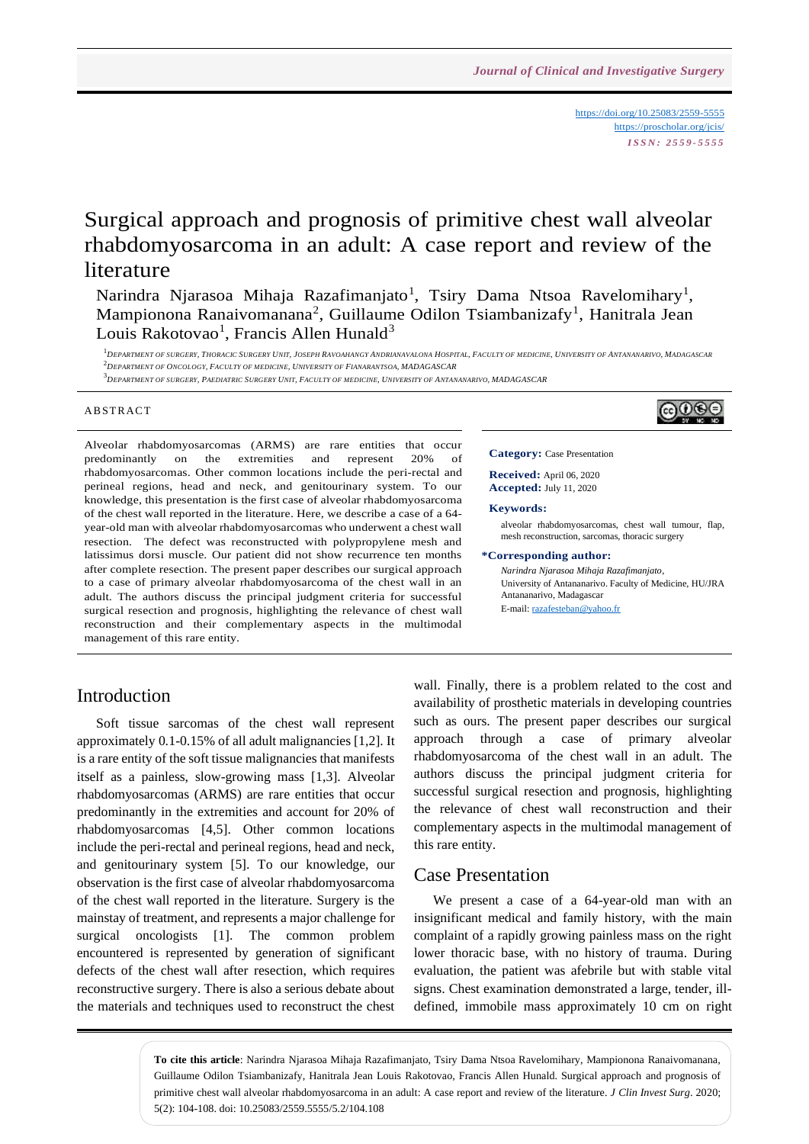<https://doi.org/10.25083/2559-5555> <https://proscholar.org/jcis/> *I S S N : 2 5 5 9 - 5 5 5 5*

෬ාෙලෙ

# Surgical approach and prognosis of primitive chest wall alveolar rhabdomyosarcoma in an adult: A case report and review of the literature

Narindra Njarasoa Mihaja Razafimanjato<sup>1</sup>, Tsiry Dama Ntsoa Ravelomihary<sup>1</sup>, Mampionona Ranaivomanana<sup>2</sup>, Guillaume Odilon Tsiambanizafy<sup>1</sup>, Hanitrala Jean Louis Rakotovao<sup>1</sup>, Francis Allen Hunald<sup>3</sup>

 $\begin{smallmatrix}1\\ 1\end{smallmatrix}\begin{smallmatrix}DEFes(1) \end{smallmatrix}\begin{smallmatrix}DEFes(2) \end{smallmatrix}\begin{smallmatrix}F1 \end{smallmatrix}\begin{smallmatrix}F2 \end{smallmatrix}\begin{smallmatrix}F2 \end{smallmatrix}\begin{smallmatrix}F3 \end{smallmatrix}\begin{smallmatrix}F4 \end{smallmatrix}\begin{smallmatrix}F4 \end{smallmatrix}\begin{smallmatrix}F4 \end{smallmatrix}\begin{smallmatrix}F4 \end{smallmatrix}\begin{smallmatrix}F4 \end{smallmatrix}\begin{smallmatrix}F4 \end{smallmatrix}\begin{smallmatrix}F4 \end{smallmatrix}\begin{smallmatrix}F4 \end{smallmatrix}\begin{smallmatrix}F4 \end{smallmatrix}\begin{small$ <sup>2</sup>*DEPARTMENT OF ONCOLOGY, FACULTY OF MEDICINE, UNIVERSITY OF FIANARANTSOA, MADAGASCAR*

 $^3$  DEPARTMENT OF SURGERY, PAEDIATRIC SURGERY UNIT, FACULTY OF MEDICINE, UNIVERSITY OF ANTANANARIVO, MADAGASCAR

#### **ABSTRACT**

Alveolar rhabdomyosarcomas (ARMS) are rare entities that occur predominantly on the extremities and represent 20% of rhabdomyosarcomas. Other common locations include the peri-rectal and perineal regions, head and neck, and genitourinary system. To our knowledge, this presentation is the first case of alveolar rhabdomyosarcoma of the chest wall reported in the literature. Here, we describe a case of a 64 year-old man with alveolar rhabdomyosarcomas who underwent a chest wall resection. The defect was reconstructed with polypropylene mesh and latissimus dorsi muscle. Our patient did not show recurrence ten months after complete resection. The present paper describes our surgical approach to a case of primary alveolar rhabdomyosarcoma of the chest wall in an adult. The authors discuss the principal judgment criteria for successful surgical resection and prognosis, highlighting the relevance of chest wall reconstruction and their complementary aspects in the multimodal management of this rare entity.

**Category:** Case Presentation

**Received:** April 06, 2020 **Accepted:** July 11, 2020

**Keywords:** 

alveolar rhabdomyosarcomas, chest wall tumour, flap, mesh reconstruction, sarcomas, thoracic surgery

#### **\*Corresponding author:**

*Narindra Njarasoa Mihaja Razafimanjato*, University of Antananarivo. Faculty of Medicine, HU/JRA Antananarivo, Madagascar E-mail[: razafesteban@yahoo.fr](mailto:razafesteban@yahoo.fr)

#### Introduction

Soft tissue sarcomas of the chest wall represent approximately 0.1-0.15% of all adult malignancies [1,2]. It is a rare entity of the soft tissue malignancies that manifests itself as a painless, slow-growing mass [1,3]. Alveolar rhabdomyosarcomas (ARMS) are rare entities that occur predominantly in the extremities and account for 20% of rhabdomyosarcomas [4,5]. Other common locations include the peri-rectal and perineal regions, head and neck, and genitourinary system [5]. To our knowledge, our observation is the first case of alveolar rhabdomyosarcoma of the chest wall reported in the literature. Surgery is the mainstay of treatment, and represents a major challenge for surgical oncologists [1]. The common problem encountered is represented by generation of significant defects of the chest wall after resection, which requires reconstructive surgery. There is also a serious debate about the materials and techniques used to reconstruct the chest wall. Finally, there is a problem related to the cost and availability of prosthetic materials in developing countries such as ours. The present paper describes our surgical approach through a case of primary alveolar rhabdomyosarcoma of the chest wall in an adult. The authors discuss the principal judgment criteria for successful surgical resection and prognosis, highlighting the relevance of chest wall reconstruction and their complementary aspects in the multimodal management of this rare entity.

#### Case Presentation

We present a case of a 64-year-old man with an insignificant medical and family history, with the main complaint of a rapidly growing painless mass on the right lower thoracic base, with no history of trauma. During evaluation, the patient was afebrile but with stable vital signs. Chest examination demonstrated a large, tender, illdefined, immobile mass approximately 10 cm on right

**To cite this article**: Narindra Njarasoa Mihaja Razafimanjato, Tsiry Dama Ntsoa Ravelomihary, Mampionona Ranaivomanana, Guillaume Odilon Tsiambanizafy, Hanitrala Jean Louis Rakotovao, Francis Allen Hunald. Surgical approach and prognosis of primitive chest wall alveolar rhabdomyosarcoma in an adult: A case report and review of the literature. *J Clin Invest Surg*. 2020; 5(2): 104-108. doi: 10.25083/2559.5555/5.2/104.108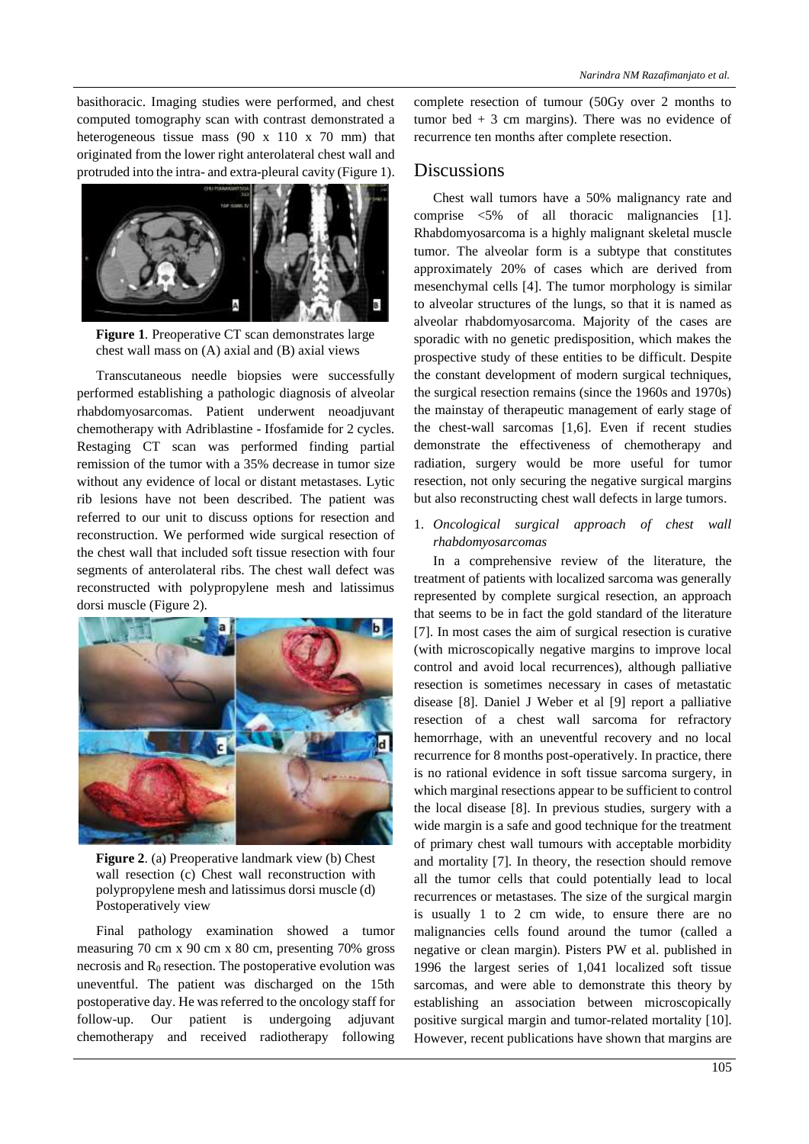basithoracic. Imaging studies were performed, and chest computed tomography scan with contrast demonstrated a heterogeneous tissue mass (90 x 110 x 70 mm) that originated from the lower right anterolateral chest wall and protruded into the intra- and extra-pleural cavity (Figure 1).



**Figure 1**. Preoperative CT scan demonstrates large chest wall mass on (A) axial and (B) axial views

Transcutaneous needle biopsies were successfully performed establishing a pathologic diagnosis of alveolar rhabdomyosarcomas. Patient underwent neoadjuvant chemotherapy with Adriblastine - Ifosfamide for 2 cycles. Restaging CT scan was performed finding partial remission of the tumor with a 35% decrease in tumor size without any evidence of local or distant metastases. Lytic rib lesions have not been described. The patient was referred to our unit to discuss options for resection and reconstruction. We performed wide surgical resection of the chest wall that included soft tissue resection with four segments of anterolateral ribs. The chest wall defect was reconstructed with polypropylene mesh and latissimus dorsi muscle (Figure 2).



**Figure 2**. (a) Preoperative landmark view (b) Chest wall resection (c) Chest wall reconstruction with polypropylene mesh and latissimus dorsi muscle (d) Postoperatively view

Final pathology examination showed a tumor measuring 70 cm x 90 cm x 80 cm, presenting 70% gross necrosis and  $R_0$  resection. The postoperative evolution was uneventful. The patient was discharged on the 15th postoperative day. He was referred to the oncology staff for follow-up. Our patient is undergoing adjuvant chemotherapy and received radiotherapy following complete resection of tumour (50Gy over 2 months to tumor bed  $+3$  cm margins). There was no evidence of recurrence ten months after complete resection.

#### **Discussions**

Chest wall tumors have a 50% malignancy rate and comprise <5% of all thoracic malignancies [1]. Rhabdomyosarcoma is a highly malignant skeletal muscle tumor. The alveolar form is a subtype that constitutes approximately 20% of cases which are derived from mesenchymal cells [4]. The tumor morphology is similar to alveolar structures of the lungs, so that it is named as alveolar rhabdomyosarcoma. Majority of the cases are sporadic with no genetic predisposition, which makes the prospective study of these entities to be difficult. Despite the constant development of modern surgical techniques, the surgical resection remains (since the 1960s and 1970s) the mainstay of therapeutic management of early stage of the chest-wall sarcomas [1,6]. Even if recent studies demonstrate the effectiveness of chemotherapy and radiation, surgery would be more useful for tumor resection, not only securing the negative surgical margins but also reconstructing chest wall defects in large tumors.

1. *Oncological surgical approach of chest wall rhabdomyosarcomas*

In a comprehensive review of the literature, the treatment of patients with localized sarcoma was generally represented by complete surgical resection, an approach that seems to be in fact the gold standard of the literature [7]. In most cases the aim of surgical resection is curative (with microscopically negative margins to improve local control and avoid local recurrences), although palliative resection is sometimes necessary in cases of metastatic disease [8]. Daniel J Weber et al [9] report a palliative resection of a chest wall sarcoma for refractory hemorrhage, with an uneventful recovery and no local recurrence for 8 months post-operatively. In practice, there is no rational evidence in soft tissue sarcoma surgery, in which marginal resections appear to be sufficient to control the local disease [8]. In previous studies, surgery with a wide margin is a safe and good technique for the treatment of primary chest wall tumours with acceptable morbidity and mortality [7]. In theory, the resection should remove all the tumor cells that could potentially lead to local recurrences or metastases. The size of the surgical margin is usually 1 to 2 cm wide, to ensure there are no malignancies cells found around the tumor (called a negative or clean margin). Pisters PW et al. published in 1996 the largest series of 1,041 localized soft tissue sarcomas, and were able to demonstrate this theory by establishing an association between microscopically positive surgical margin and tumor-related mortality [10]. However, recent publications have shown that margins are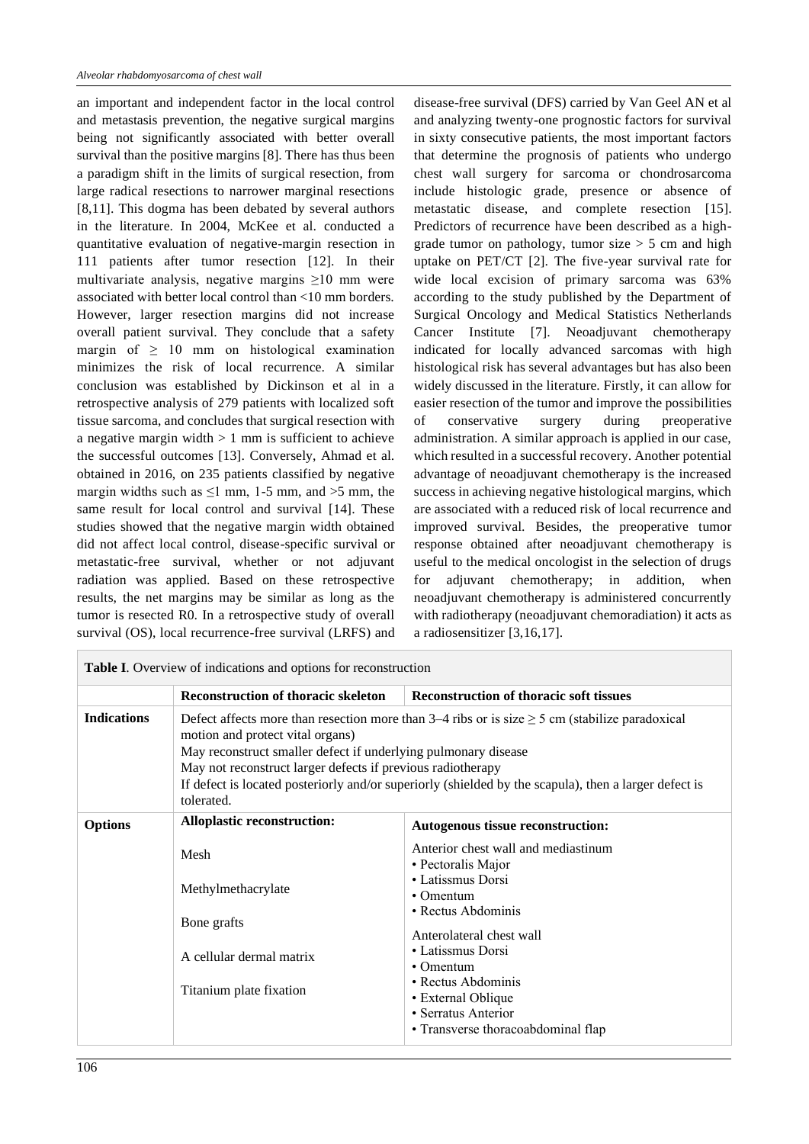an important and independent factor in the local control and metastasis prevention, the negative surgical margins being not significantly associated with better overall survival than the positive margins [8]. There has thus been a paradigm shift in the limits of surgical resection, from large radical resections to narrower marginal resections [8,11]. This dogma has been debated by several authors in the literature. In 2004, McKee et al. conducted a quantitative evaluation of negative-margin resection in 111 patients after tumor resection [12]. In their multivariate analysis, negative margins ≥10 mm were associated with better local control than <10 mm borders. However, larger resection margins did not increase overall patient survival. They conclude that a safety margin of  $\geq 10$  mm on histological examination minimizes the risk of local recurrence. A similar conclusion was established by Dickinson et al in a retrospective analysis of 279 patients with localized soft tissue sarcoma, and concludes that surgical resection with a negative margin width  $> 1$  mm is sufficient to achieve the successful outcomes [13]. Conversely, Ahmad et al. obtained in 2016, on 235 patients classified by negative margin widths such as  $\leq$ 1 mm, 1-5 mm, and >5 mm, the same result for local control and survival [14]. These studies showed that the negative margin width obtained did not affect local control, disease-specific survival or metastatic-free survival, whether or not adjuvant radiation was applied. Based on these retrospective results, the net margins may be similar as long as the tumor is resected R0. In a retrospective study of overall survival (OS), local recurrence-free survival (LRFS) and disease-free survival (DFS) carried by Van Geel AN et al and analyzing twenty-one prognostic factors for survival in sixty consecutive patients, the most important factors that determine the prognosis of patients who undergo chest wall surgery for sarcoma or chondrosarcoma include histologic grade, presence or absence of metastatic disease, and complete resection [15]. Predictors of recurrence have been described as a highgrade tumor on pathology, tumor size  $> 5$  cm and high uptake on PET/CT [2]. The five-year survival rate for wide local excision of primary sarcoma was 63% according to the study published by the Department of Surgical Oncology and Medical Statistics Netherlands Cancer Institute [7]. Neoadjuvant chemotherapy indicated for locally advanced sarcomas with high histological risk has several advantages but has also been widely discussed in the literature. Firstly, it can allow for easier resection of the tumor and improve the possibilities of conservative surgery during preoperative administration. A similar approach is applied in our case, which resulted in a successful recovery. Another potential advantage of neoadjuvant chemotherapy is the increased success in achieving negative histological margins, which are associated with a reduced risk of local recurrence and improved survival. Besides, the preoperative tumor response obtained after neoadjuvant chemotherapy is useful to the medical oncologist in the selection of drugs for adjuvant chemotherapy; in addition, when neoadjuvant chemotherapy is administered concurrently with radiotherapy (neoadjuvant chemoradiation) it acts as a radiosensitizer [3,16,17].

|                    | <b>Reconstruction of thoracic skeleton</b>                                                                                                                                                                                                                                                                                                                                                        | <b>Reconstruction of thoracic soft tissues</b>                                                                                                                                                                                                                                                       |
|--------------------|---------------------------------------------------------------------------------------------------------------------------------------------------------------------------------------------------------------------------------------------------------------------------------------------------------------------------------------------------------------------------------------------------|------------------------------------------------------------------------------------------------------------------------------------------------------------------------------------------------------------------------------------------------------------------------------------------------------|
| <b>Indications</b> | Defect affects more than resection more than $3-4$ ribs or is size $\geq 5$ cm (stabilize paradoxical<br>motion and protect vital organs)<br>May reconstruct smaller defect if underlying pulmonary disease<br>May not reconstruct larger defects if previous radiotherapy<br>If defect is located posteriorly and/or superiorly (shielded by the scapula), then a larger defect is<br>tolerated. |                                                                                                                                                                                                                                                                                                      |
| <b>Options</b>     | <b>Alloplastic reconstruction:</b>                                                                                                                                                                                                                                                                                                                                                                | Autogenous tissue reconstruction:                                                                                                                                                                                                                                                                    |
|                    | Mesh<br>Methylmethacrylate<br>Bone grafts<br>A cellular dermal matrix<br>Titanium plate fixation                                                                                                                                                                                                                                                                                                  | Anterior chest wall and mediastinum<br>• Pectoralis Major<br>• Latissmus Dorsi<br>$\cdot$ Omentum<br>• Rectus Abdominis<br>Anterolateral chest wall<br>• Latissmus Dorsi<br>$\cdot$ Omentum<br>• Rectus Abdominis<br>• External Oblique<br>• Serratus Anterior<br>• Transverse thoracoabdominal flap |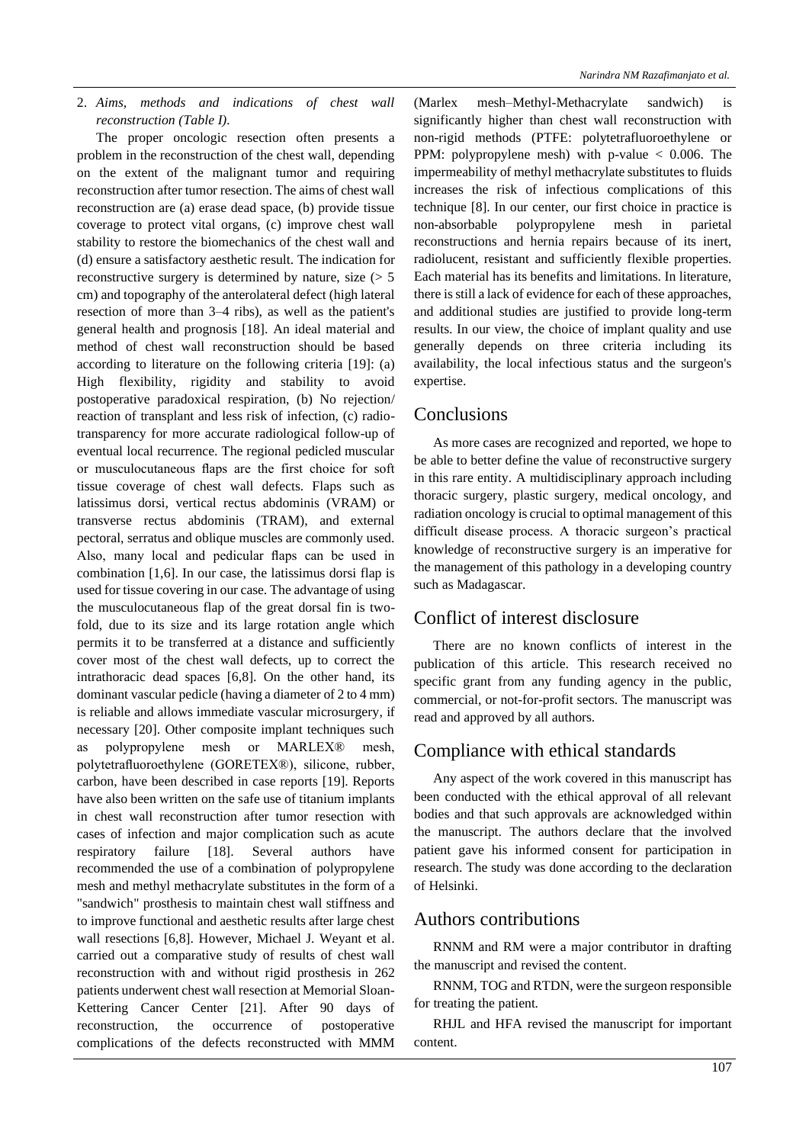2. *Aims, methods and indications of chest wall reconstruction (Table I).*

The proper oncologic resection often presents a problem in the reconstruction of the chest wall, depending on the extent of the malignant tumor and requiring reconstruction after tumor resection. The aims of chest wall reconstruction are (a) erase dead space, (b) provide tissue coverage to protect vital organs, (c) improve chest wall stability to restore the biomechanics of the chest wall and (d) ensure a satisfactory aesthetic result. The indication for reconstructive surgery is determined by nature, size  $(5 \times 5)$ cm) and topography of the anterolateral defect (high lateral resection of more than 3–4 ribs), as well as the patient's general health and prognosis [18]. An ideal material and method of chest wall reconstruction should be based according to literature on the following criteria [19]: (a) High flexibility, rigidity and stability to avoid postoperative paradoxical respiration, (b) No rejection/ reaction of transplant and less risk of infection, (c) radiotransparency for more accurate radiological follow-up of eventual local recurrence. The regional pedicled muscular or musculocutaneous flaps are the first choice for soft tissue coverage of chest wall defects. Flaps such as latissimus dorsi, vertical rectus abdominis (VRAM) or transverse rectus abdominis (TRAM), and external pectoral, serratus and oblique muscles are commonly used. Also, many local and pedicular flaps can be used in combination [1,6]. In our case, the latissimus dorsi flap is used for tissue covering in our case. The advantage of using the musculocutaneous flap of the great dorsal fin is twofold, due to its size and its large rotation angle which permits it to be transferred at a distance and sufficiently cover most of the chest wall defects, up to correct the intrathoracic dead spaces [6,8]. On the other hand, its dominant vascular pedicle (having a diameter of 2 to 4 mm) is reliable and allows immediate vascular microsurgery, if necessary [20]. Other composite implant techniques such as polypropylene mesh or MARLEX® mesh, polytetrafluoroethylene (GORETEX®), silicone, rubber, carbon, have been described in case reports [19]. Reports have also been written on the safe use of titanium implants in chest wall reconstruction after tumor resection with cases of infection and major complication such as acute respiratory failure [18]. Several authors have recommended the use of a combination of polypropylene mesh and methyl methacrylate substitutes in the form of a "sandwich" prosthesis to maintain chest wall stiffness and to improve functional and aesthetic results after large chest wall resections [6,8]. However, Michael J. Weyant et al. carried out a comparative study of results of chest wall reconstruction with and without rigid prosthesis in 262 patients underwent chest wall resection at Memorial Sloan-Kettering Cancer Center [21]. After 90 days of reconstruction, the occurrence of postoperative complications of the defects reconstructed with MMM

(Marlex mesh–Methyl-Methacrylate sandwich) is significantly higher than chest wall reconstruction with non-rigid methods (PTFE: polytetrafluoroethylene or PPM: polypropylene mesh) with p-value  $\lt$  0.006. The impermeability of methyl methacrylate substitutes to fluids increases the risk of infectious complications of this technique [8]. In our center, our first choice in practice is non-absorbable polypropylene mesh in parietal reconstructions and hernia repairs because of its inert, radiolucent, resistant and sufficiently flexible properties. Each material has its benefits and limitations. In literature, there is still a lack of evidence for each of these approaches, and additional studies are justified to provide long-term results. In our view, the choice of implant quality and use generally depends on three criteria including its availability, the local infectious status and the surgeon's expertise.

# Conclusions

As more cases are recognized and reported, we hope to be able to better define the value of reconstructive surgery in this rare entity. A multidisciplinary approach including thoracic surgery, plastic surgery, medical oncology, and radiation oncology is crucial to optimal management of this difficult disease process. A thoracic surgeon's practical knowledge of reconstructive surgery is an imperative for the management of this pathology in a developing country such as Madagascar.

## Conflict of interest disclosure

There are no known conflicts of interest in the publication of this article. This research received no specific grant from any funding agency in the public, commercial, or not-for-profit sectors. The manuscript was read and approved by all authors.

### Compliance with ethical standards

Any aspect of the work covered in this manuscript has been conducted with the ethical approval of all relevant bodies and that such approvals are acknowledged within the manuscript. The authors declare that the involved patient gave his informed consent for participation in research. The study was done according to the declaration of Helsinki.

### Authors contributions

RNNM and RM were a major contributor in drafting the manuscript and revised the content.

RNNM, TOG and RTDN, were the surgeon responsible for treating the patient.

RHJL and HFA revised the manuscript for important content.